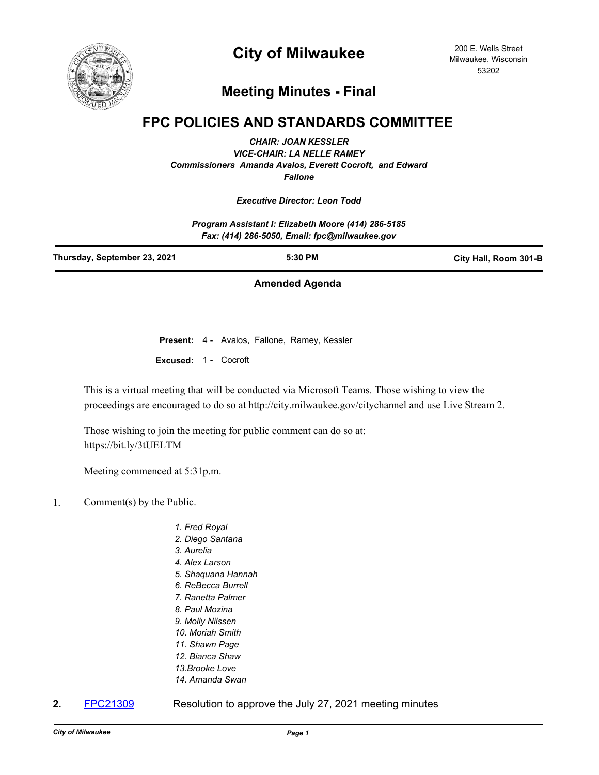

# **City of Milwaukee**

200 E. Wells Street Milwaukee, Wisconsin 53202

## **Meeting Minutes - Final**

### **FPC POLICIES AND STANDARDS COMMITTEE**

*CHAIR: JOAN KESSLER VICE-CHAIR: LA NELLE RAMEY Commissioners Amanda Avalos, Everett Cocroft, and Edward Fallone*

#### *Executive Director: Leon Todd*

*Program Assistant I: Elizabeth Moore (414) 286-5185 Fax: (414) 286-5050, Email: fpc@milwaukee.gov*

| Thursday, September 23, 2021 | $5:30$ PM | City Hall, Room 301-B |
|------------------------------|-----------|-----------------------|
|                              |           |                       |

### **Amended Agenda**

**Present:** 4 - Avalos, Fallone, Ramey, Kessler **Excused:** 1 - Cocroft

This is a virtual meeting that will be conducted via Microsoft Teams. Those wishing to view the proceedings are encouraged to do so at http://city.milwaukee.gov/citychannel and use Live Stream 2.

Those wishing to join the meeting for public comment can do so at: https://bit.ly/3tUELTM

Meeting commenced at 5:31p.m.

- 1. Comment(s) by the Public.
	- *1. Fred Royal*
	- *2. Diego Santana*
	- *3. Aurelia*
	- *4. Alex Larson*
	- *5. Shaquana Hannah*
	- *6. ReBecca Burrell*
	- *7. Ranetta Palmer*
	- *8. Paul Mozina*
	- *9. Molly Nilssen*
	- *10. Moriah Smith*
	- *11. Shawn Page*
	- *12. Bianca Shaw 13.Brooke Love*
	-
	- *14. Amanda Swan*
- 
- **2.** [FPC21309](http://milwaukee.legistar.com/gateway.aspx?m=l&id=/matter.aspx?key=60247) Resolution to approve the July 27, 2021 meeting minutes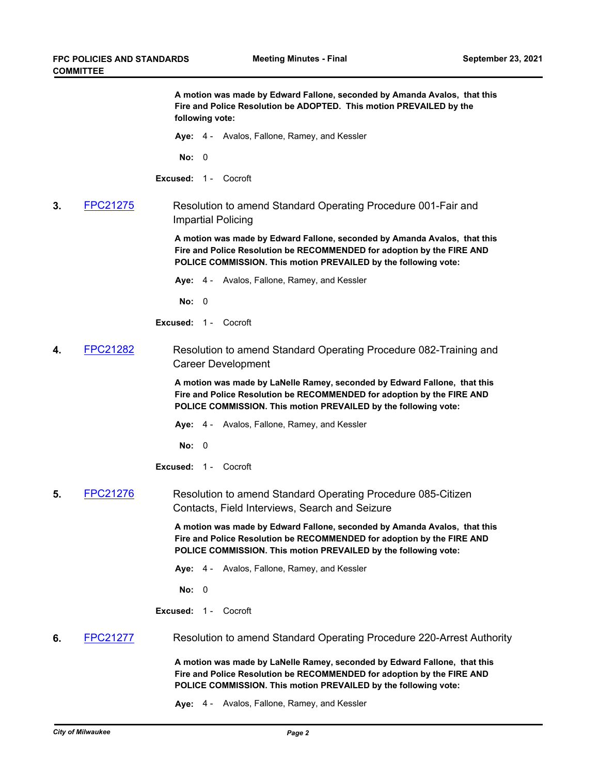**A motion was made by Edward Fallone, seconded by Amanda Avalos, that this Fire and Police Resolution be ADOPTED. This motion PREVAILED by the following vote: Aye:** 4 - Avalos, Fallone, Ramey, and Kessler **No:** 0 **Excused:** 1 - Cocroft **3.** [FPC21275](http://milwaukee.legistar.com/gateway.aspx?m=l&id=/matter.aspx?key=59995) Resolution to amend Standard Operating Procedure 001-Fair and Impartial Policing **A motion was made by Edward Fallone, seconded by Amanda Avalos, that this Fire and Police Resolution be RECOMMENDED for adoption by the FIRE AND POLICE COMMISSION. This motion PREVAILED by the following vote: Aye:** 4 - Avalos, Fallone, Ramey, and Kessler **No:** 0 **Excused:** 1 - Cocroft **4.** [FPC21282](http://milwaukee.legistar.com/gateway.aspx?m=l&id=/matter.aspx?key=60005) Resolution to amend Standard Operating Procedure 082-Training and Career Development **A motion was made by LaNelle Ramey, seconded by Edward Fallone, that this Fire and Police Resolution be RECOMMENDED for adoption by the FIRE AND POLICE COMMISSION. This motion PREVAILED by the following vote: Aye:** 4 - Avalos, Fallone, Ramey, and Kessler **No:** 0 **Excused:** 1 - Cocroft **5.** [FPC21276](http://milwaukee.legistar.com/gateway.aspx?m=l&id=/matter.aspx?key=59996) Resolution to amend Standard Operating Procedure 085-Citizen Contacts, Field Interviews, Search and Seizure **A motion was made by Edward Fallone, seconded by Amanda Avalos, that this Fire and Police Resolution be RECOMMENDED for adoption by the FIRE AND POLICE COMMISSION. This motion PREVAILED by the following vote: Aye:** 4 - Avalos, Fallone, Ramey, and Kessler **No:** 0 **Excused:** 1 - Cocroft **6.** [FPC21277](http://milwaukee.legistar.com/gateway.aspx?m=l&id=/matter.aspx?key=59998) Resolution to amend Standard Operating Procedure 220-Arrest Authority **A motion was made by LaNelle Ramey, seconded by Edward Fallone, that this Fire and Police Resolution be RECOMMENDED for adoption by the FIRE AND POLICE COMMISSION. This motion PREVAILED by the following vote: Aye:** 4 - Avalos, Fallone, Ramey, and Kessler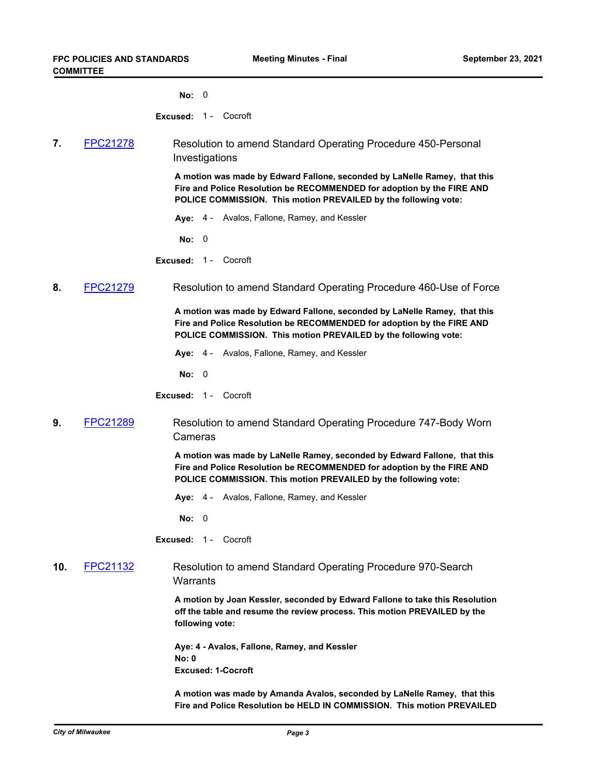**No:** 0

**Excused:** 1 - Cocroft

**7.** [FPC21278](http://milwaukee.legistar.com/gateway.aspx?m=l&id=/matter.aspx?key=60001) Resolution to amend Standard Operating Procedure 450-Personal Investigations

> **A motion was made by Edward Fallone, seconded by LaNelle Ramey, that this Fire and Police Resolution be RECOMMENDED for adoption by the FIRE AND POLICE COMMISSION. This motion PREVAILED by the following vote:**

**Aye:** 4 - Avalos, Fallone, Ramey, and Kessler

**No:** 0

**Excused:** 1 - Cocroft

**8.** [FPC21279](http://milwaukee.legistar.com/gateway.aspx?m=l&id=/matter.aspx?key=60002) Resolution to amend Standard Operating Procedure 460-Use of Force

**A motion was made by Edward Fallone, seconded by LaNelle Ramey, that this Fire and Police Resolution be RECOMMENDED for adoption by the FIRE AND POLICE COMMISSION. This motion PREVAILED by the following vote:**

**Aye:** 4 - Avalos, Fallone, Ramey, and Kessler

**No:** 0

**Excused:** 1 - Cocroft

**9.** [FPC21289](http://milwaukee.legistar.com/gateway.aspx?m=l&id=/matter.aspx?key=60012) Resolution to amend Standard Operating Procedure 747-Body Worn Cameras

> **A motion was made by LaNelle Ramey, seconded by Edward Fallone, that this Fire and Police Resolution be RECOMMENDED for adoption by the FIRE AND POLICE COMMISSION. This motion PREVAILED by the following vote:**

**Aye:** 4 - Avalos, Fallone, Ramey, and Kessler

**No:** 0

**Excused:** 1 - Cocroft

**10.** [FPC21132](http://milwaukee.legistar.com/gateway.aspx?m=l&id=/matter.aspx?key=57013) Resolution to amend Standard Operating Procedure 970-Search **Warrants** 

> **A motion by Joan Kessler, seconded by Edward Fallone to take this Resolution off the table and resume the review process. This motion PREVAILED by the following vote:**

**Aye: 4 - Avalos, Fallone, Ramey, and Kessler No: 0 Excused: 1-Cocroft**

**A motion was made by Amanda Avalos, seconded by LaNelle Ramey, that this Fire and Police Resolution be HELD IN COMMISSION. This motion PREVAILED**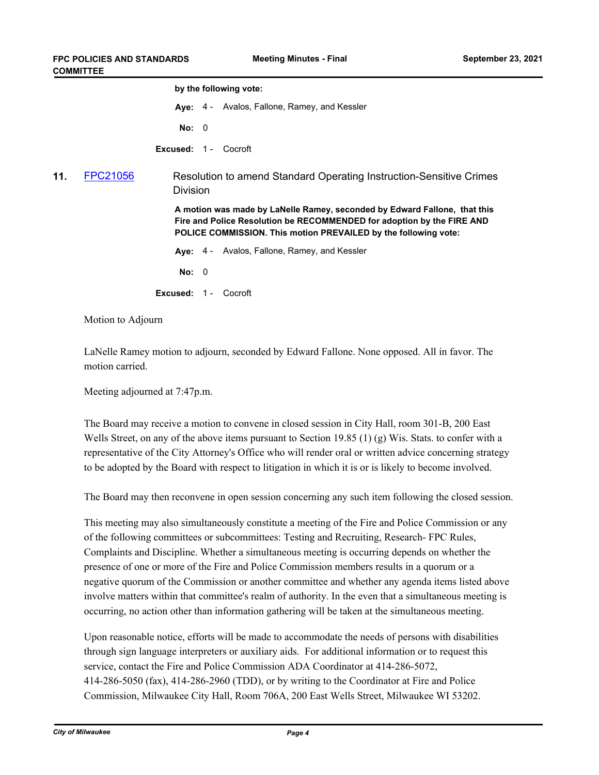|                 |                                                                                                                                                                                                                               | by the following vote: |                                                                 |  |
|-----------------|-------------------------------------------------------------------------------------------------------------------------------------------------------------------------------------------------------------------------------|------------------------|-----------------------------------------------------------------|--|
|                 |                                                                                                                                                                                                                               |                        | Aye: 4 - Avalos, Fallone, Ramey, and Kessler                    |  |
|                 |                                                                                                                                                                                                                               |                        |                                                                 |  |
|                 |                                                                                                                                                                                                                               |                        |                                                                 |  |
| <b>FPC21056</b> | Resolution to amend Standard Operating Instruction-Sensitive Crimes<br><b>Division</b>                                                                                                                                        |                        |                                                                 |  |
|                 | A motion was made by LaNelle Ramey, seconded by Edward Fallone, that this<br>Fire and Police Resolution be RECOMMENDED for adoption by the FIRE AND<br><b>POLICE COMMISSION. This motion PREVAILED by the following vote:</b> |                        |                                                                 |  |
|                 |                                                                                                                                                                                                                               |                        | Aye: 4 - Avalos, Fallone, Ramey, and Kessler                    |  |
|                 |                                                                                                                                                                                                                               |                        |                                                                 |  |
|                 |                                                                                                                                                                                                                               |                        | Cocroft                                                         |  |
|                 |                                                                                                                                                                                                                               |                        | No: 0<br><b>Excused: 1 - Cocroft</b><br>No: 0<br>Excused: $1 -$ |  |

Motion to Adjourn

LaNelle Ramey motion to adjourn, seconded by Edward Fallone. None opposed. All in favor. The motion carried.

Meeting adjourned at 7:47p.m.

The Board may receive a motion to convene in closed session in City Hall, room 301-B, 200 East Wells Street, on any of the above items pursuant to Section 19.85 (1) (g) Wis. Stats. to confer with a representative of the City Attorney's Office who will render oral or written advice concerning strategy to be adopted by the Board with respect to litigation in which it is or is likely to become involved.

The Board may then reconvene in open session concerning any such item following the closed session.

This meeting may also simultaneously constitute a meeting of the Fire and Police Commission or any of the following committees or subcommittees: Testing and Recruiting, Research- FPC Rules, Complaints and Discipline. Whether a simultaneous meeting is occurring depends on whether the presence of one or more of the Fire and Police Commission members results in a quorum or a negative quorum of the Commission or another committee and whether any agenda items listed above involve matters within that committee's realm of authority. In the even that a simultaneous meeting is occurring, no action other than information gathering will be taken at the simultaneous meeting.

Upon reasonable notice, efforts will be made to accommodate the needs of persons with disabilities through sign language interpreters or auxiliary aids. For additional information or to request this service, contact the Fire and Police Commission ADA Coordinator at 414-286-5072, 414-286-5050 (fax), 414-286-2960 (TDD), or by writing to the Coordinator at Fire and Police Commission, Milwaukee City Hall, Room 706A, 200 East Wells Street, Milwaukee WI 53202.